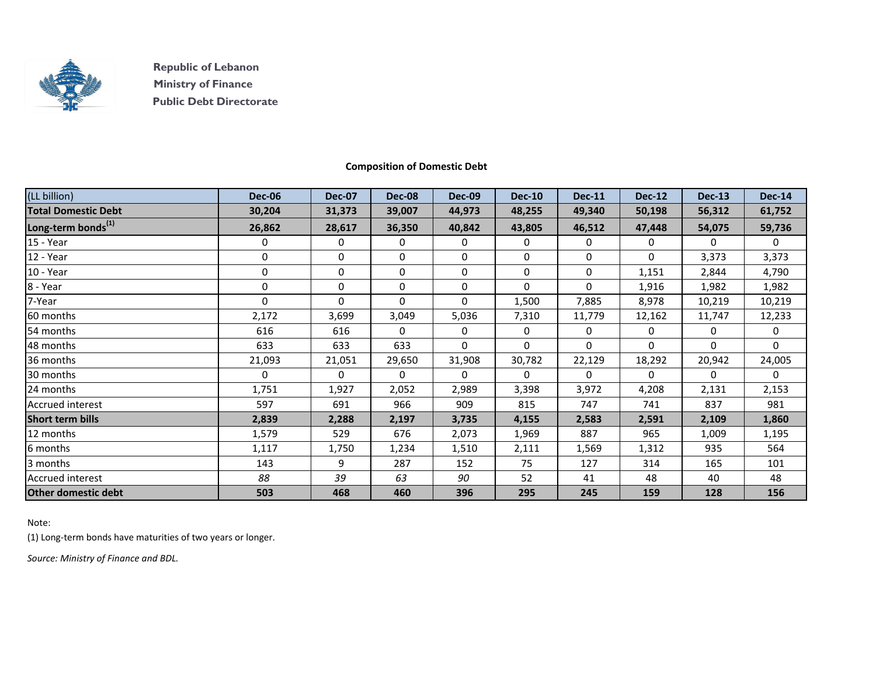

 **Republic of Lebanon Ministry of Finance Public Debt Directorate**

## **Composition of Domestic Debt**

| (LL billion)                   | <b>Dec-06</b> | <b>Dec-07</b> | <b>Dec-08</b> | <b>Dec-09</b> | <b>Dec-10</b> | <b>Dec-11</b> | <b>Dec-12</b> | <b>Dec-13</b> | <b>Dec-14</b> |
|--------------------------------|---------------|---------------|---------------|---------------|---------------|---------------|---------------|---------------|---------------|
| <b>Total Domestic Debt</b>     | 30,204        | 31,373        | 39,007        | 44,973        | 48,255        | 49,340        | 50,198        | 56,312        | 61,752        |
| Long-term bonds <sup>(1)</sup> | 26,862        | 28,617        | 36,350        | 40,842        | 43,805        | 46,512        | 47,448        | 54,075        | 59,736        |
| 15 - Year                      | 0             | 0             | 0             | 0             | 0             | 0             | 0             | $\Omega$      | $\mathbf{0}$  |
| 12 - Year                      | 0             | 0             | 0             | 0             | 0             | 0             | $\Omega$      | 3,373         | 3,373         |
| 10 - Year                      | 0             | 0             | 0             | 0             | 0             | 0             | 1,151         | 2,844         | 4,790         |
| 8 - Year                       | 0             | 0             | 0             | 0             | $\Omega$      | $\Omega$      | 1,916         | 1,982         | 1,982         |
| 7-Year                         | $\Omega$      | 0             | 0             | 0             | 1,500         | 7,885         | 8,978         | 10,219        | 10,219        |
| 60 months                      | 2,172         | 3,699         | 3,049         | 5,036         | 7,310         | 11,779        | 12,162        | 11,747        | 12,233        |
| 54 months                      | 616           | 616           | 0             | 0             | 0             | 0             | 0             | 0             | 0             |
| 48 months                      | 633           | 633           | 633           | 0             | $\Omega$      | $\Omega$      | $\Omega$      | $\Omega$      | $\mathbf 0$   |
| 36 months                      | 21,093        | 21,051        | 29,650        | 31,908        | 30,782        | 22,129        | 18,292        | 20,942        | 24,005        |
| 30 months                      | 0             | 0             | 0             | 0             | $\Omega$      | $\mathbf{0}$  | $\Omega$      | $\Omega$      | $\mathbf 0$   |
| 24 months                      | 1,751         | 1,927         | 2,052         | 2,989         | 3,398         | 3,972         | 4,208         | 2,131         | 2,153         |
| <b>Accrued interest</b>        | 597           | 691           | 966           | 909           | 815           | 747           | 741           | 837           | 981           |
| <b>Short term bills</b>        | 2,839         | 2,288         | 2,197         | 3,735         | 4,155         | 2,583         | 2,591         | 2,109         | 1,860         |
| 12 months                      | 1,579         | 529           | 676           | 2,073         | 1,969         | 887           | 965           | 1,009         | 1,195         |
| 6 months                       | 1,117         | 1,750         | 1,234         | 1,510         | 2,111         | 1,569         | 1,312         | 935           | 564           |
| 3 months                       | 143           | 9             | 287           | 152           | 75            | 127           | 314           | 165           | 101           |
| <b>Accrued interest</b>        | 88            | 39            | 63            | 90            | 52            | 41            | 48            | 40            | 48            |
| <b>Other domestic debt</b>     | 503           | 468           | 460           | 396           | 295           | 245           | 159           | 128           | 156           |

Note:

(1) Long-term bonds have maturities of two years or longer.

*Source: Ministry of Finance and BDL.*